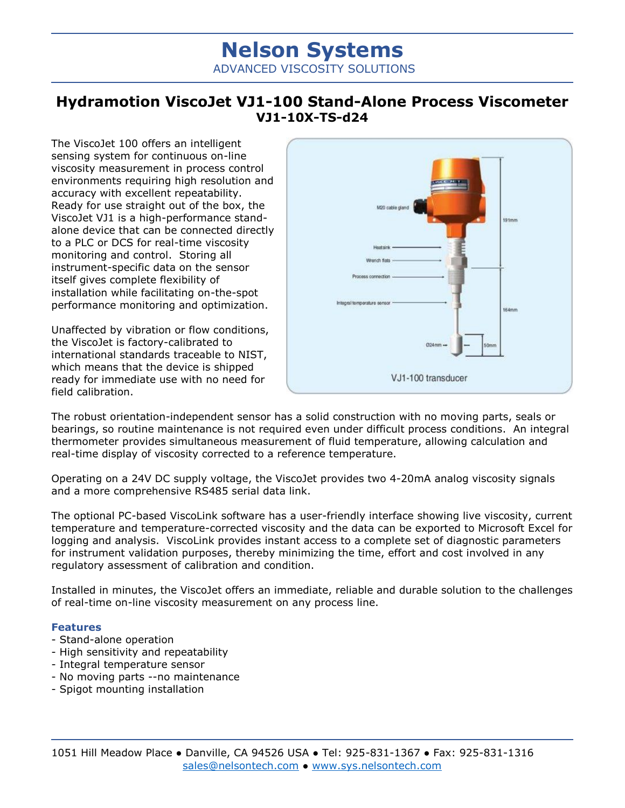## **Nelson Systems** ADVANCED VISCOSITY SOLUTIONS

## **Hydramotion ViscoJet VJ1-100 Stand-Alone Process Viscometer VJ1-10X-TS-d24**

The ViscoJet 100 offers an intelligent sensing system for continuous on-line viscosity measurement in process control environments requiring high resolution and accuracy with excellent repeatability. Ready for use straight out of the box, the ViscoJet VJ1 is a high-performance standalone device that can be connected directly to a PLC or DCS for real-time viscosity monitoring and control. Storing all instrument-specific data on the sensor itself gives complete flexibility of installation while facilitating on-the-spot performance monitoring and optimization.

Unaffected by vibration or flow conditions, the ViscoJet is factory-calibrated to international standards traceable to NIST, which means that the device is shipped ready for immediate use with no need for field calibration.



The robust orientation-independent sensor has a solid construction with no moving parts, seals or bearings, so routine maintenance is not required even under difficult process conditions. An integral thermometer provides simultaneous measurement of fluid temperature, allowing calculation and real-time display of viscosity corrected to a reference temperature.

Operating on a 24V DC supply voltage, the ViscoJet provides two 4-20mA analog viscosity signals and a more comprehensive RS485 serial data link.

The optional PC-based ViscoLink software has a user-friendly interface showing live viscosity, current temperature and temperature-corrected viscosity and the data can be exported to Microsoft Excel for logging and analysis. ViscoLink provides instant access to a complete set of diagnostic parameters for instrument validation purposes, thereby minimizing the time, effort and cost involved in any regulatory assessment of calibration and condition.

Installed in minutes, the ViscoJet offers an immediate, reliable and durable solution to the challenges of real-time on-line viscosity measurement on any process line.

## **Features**

- Stand-alone operation
- High sensitivity and repeatability
- Integral temperature sensor
- No moving parts --no maintenance
- Spigot mounting installation